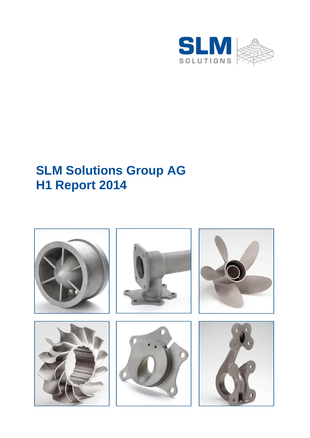

# **SLM Solutions Group AG H1 Report 2014**

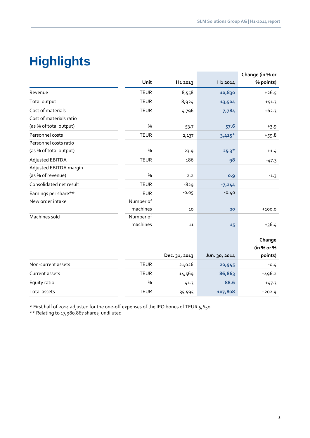# **Highlights**

|                         |             |                     |                     | Change (in % or       |
|-------------------------|-------------|---------------------|---------------------|-----------------------|
|                         | Unit        | H <sub>1</sub> 2013 | H <sub>1</sub> 2014 | % points)             |
| Revenue                 | <b>TEUR</b> | 8,558               | 10,830              | $+26.5$               |
| Total output            | <b>TEUR</b> | 8,924               | 13,504              | $+51.3$               |
| Cost of materials       | <b>TEUR</b> | 4,796               | 7,784               | $+62.3$               |
| Cost of materials ratio |             |                     |                     |                       |
| (as % of total output)  | %           | 53.7                | 57.6                | $+3.9$                |
| Personnel costs         | <b>TEUR</b> | 2,137               | $3,415*$            | $+59.8$               |
| Personnel costs ratio   |             |                     |                     |                       |
| (as % of total output)  | %           | 23.9                | $25.3*$             | $+1.4$                |
| Adjusted EBITDA         | <b>TEUR</b> | 186                 | 98                  | $-47.3$               |
| Adjusted EBITDA margin  |             |                     |                     |                       |
| (as % of revenue)       | %           | 2.2                 | 0.9                 | $-1.3$                |
| Consolidated net result | <b>TEUR</b> | $-829$              | $-7,244$            |                       |
| Earnings per share**    | <b>EUR</b>  | $-0.05$             | $-0.40$             |                       |
| New order intake        | Number of   |                     |                     |                       |
|                         | machines    | 10                  | 20                  | $+100.0$              |
| Machines sold           | Number of   |                     |                     |                       |
|                         | machines    | 11                  | 15                  | $+36.4$               |
|                         |             |                     |                     |                       |
|                         |             |                     |                     | Change                |
|                         |             |                     |                     | (in % or %<br>points) |
|                         |             | Dec. 31, 2013       | Jun. 30, 2014       |                       |
| Non-current assets      | <b>TEUR</b> | 21,026              | 20,945              | $-0.4$                |
| Current assets          | <b>TEUR</b> | 14,569              | 86,863              | $+496.2$              |
| Equity ratio            | %           | 41.3                | 88.6                | $+47.3$               |
| <b>Total assets</b>     | <b>TEUR</b> | 35,595              | 107,808             | $+202.9$              |

\* First half of 2014 adjusted for the one-off expenses of the IPO bonus of TEUR 5,650.

\*\* Relating to 17,980,867 shares, undiluted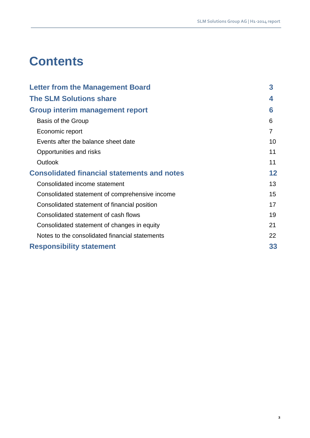# **Contents**

| <b>Letter from the Management Board</b>            | 3  |
|----------------------------------------------------|----|
| <b>The SLM Solutions share</b>                     | 4  |
| <b>Group interim management report</b>             | 6  |
| Basis of the Group                                 | 6  |
| Economic report                                    | 7  |
| Events after the balance sheet date                | 10 |
| Opportunities and risks                            | 11 |
| Outlook                                            | 11 |
| <b>Consolidated financial statements and notes</b> | 12 |
| Consolidated income statement                      | 13 |
| Consolidated statement of comprehensive income     | 15 |
| Consolidated statement of financial position       | 17 |
| Consolidated statement of cash flows               | 19 |
| Consolidated statement of changes in equity        | 21 |
| Notes to the consolidated financial statements     | 22 |
| <b>Responsibility statement</b>                    | 33 |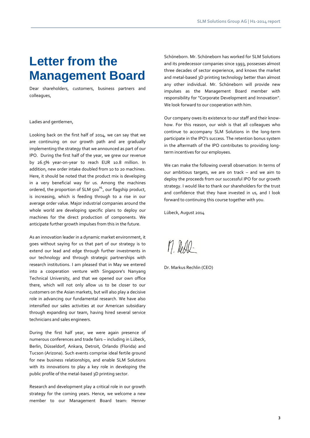# **Letter from the Management Board**

Dear shareholders, customers, business partners and colleagues,

#### Ladies and gentlemen,

Looking back on the first half of 2014, we can say that we are continuing on our growth path and are gradually implementing the strategy that we announced as part of our IPO. During the first half of the year, we grew our revenue by 26.5% year-on-year to reach EUR 10.8 million. In addition, new order intake doubled from 10 to 20 machines. Here, it should be noted that the product mix is developing in a very beneficial way for us. Among the machines ordered, the proportion of SLM 500<sup>HL</sup>, our flagship product, is increasing, which is feeding through to a rise in our average order value. Major industrial companies around the whole world are developing specific plans to deploy our machines for the direct production of components. We anticipate further growth impulses from this in the future.

As an innovation leader in a dynamic market environment, it goes without saying for us that part of our strategy is to extend our lead and edge through further investments in our technology and through strategic partnerships with research institutions. I am pleased that in May we entered into a cooperation venture with Singapore's Nanyang Technical University, and that we opened our own office there, which will not only allow us to be closer to our customers on the Asian markets, but will also play a decisive role in advancing our fundamental research. We have also intensified our sales activities at our American subsidiary through expanding our team, having hired several service technicians and sales engineers.

During the first half year, we were again presence of numerous conferences and trade fairs – including in Lübeck, Berlin, Düsseldorf, Ankara, Detroit, Orlando (Florida) and Tucson (Arizona). Such events comprise ideal fertile ground for new business relationships, and enable SLM Solutions with its innovations to play a key role in developing the public profile of the metal-based 3D printing sector.

Research and development play a critical role in our growth strategy for the coming years. Hence, we welcome a new member to our Management Board team: Henner

Schöneborn. Mr. Schöneborn has worked for SLM Solutions and its predecessor companies since 1993, possesses almost three decades of sector experience, and knows the market and metal-based 3D printing technology better than almost any other individual. Mr. Schöneborn will provide new impulses as the Management Board member with responsibility for "Corporate Development and Innovation". We look forward to our cooperation with him.

Our company owes its existence to our staff and their knowhow. For this reason, our wish is that all colleagues who continue to accompany SLM Solutions in the long-term participate in the IPO's success. The retention bonus system in the aftermath of the IPO contributes to providing longterm incentives for our employees.

We can make the following overall observation: In terms of our ambitious targets, we are on track – and we aim to deploy the proceeds from our successful IPO for our growth strategy. I would like to thank our shareholders for the trust and confidence that they have invested in us, and I look forward to continuing this course together with you.

Lübeck, August 2014

M. Redd-

Dr. Markus Rechlin (CEO)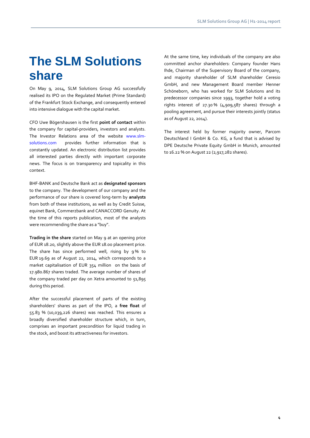# **The SLM Solutions share**

On May 9, 2014, SLM Solutions Group AG successfully realised its IPO on the Regulated Market (Prime Standard) of the Frankfurt Stock Exchange, and consequently entered into intensive dialogue with the capital market.

CFO Uwe Bögershausen is the first **point of contact** within the company for capital-providers, investors and analysts. The Investor Relations area of the website [www.slm](http://www.slm-solutions.com/)[solutions.com](http://www.slm-solutions.com/) provides further information that is constantly updated. An electronic distribution list provides all interested parties directly with important corporate news. The focus is on transparency and topicality in this context.

BHF-BANK and Deutsche Bank act as **designated sponsors** to the company. The development of our company and the performance of our share is covered long-term by **analysts** from both of these institutions, as well as by Credit Suisse, equinet Bank, Commerzbank and CANACCORD Genuity. At the time of this reports publication, most of the analysts were recommending the share as a "buy".

**Trading in the share** started on May 9 at an opening price of EUR 18.20, slightly above the EUR 18.00 placement price. The share has since performed well, rising by 9% to EUR 19.69 as of August 22, 2014, which corresponds to a market capitalisation of EUR 354 million on the basis of 17.980.867 shares traded. The average number of shares of the company traded per day on Xetra amounted to 51,895 during this period.

After the successful placement of parts of the existing shareholders' shares as part of the IPO, a **free float** of 55.83 % (10,039,226 shares) was reached. This ensures a broadly diversified shareholder structure which, in turn, comprises an important precondition for liquid trading in the stock, and boost its attractiveness for investors.

At the same time, key individuals of the company are also committed anchor shareholders: Company founder Hans Ihde, Chairman of the Supervisory Board of the company, and majority shareholder of SLM shareholder Ceresio GmbH, and new Management Board member Henner Schöneborn, who has worked for SLM Solutions and its predecessor companies since 1993, together hold a voting rights interest of 27.30 % (4,909,587 shares) through a pooling agreement, and pursue their interests jointly (status as of August 22, 2014).

The interest held by former majority owner, Parcom Deutschland I GmbH & Co. KG, a fund that is advised by DPE Deutsche Private Equity GmbH in Munich, amounted to 16.22 % on August 22 (2,917,282 shares).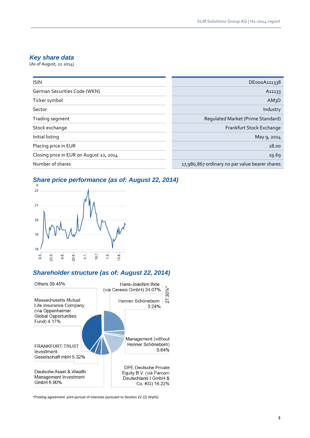## *Key share data*

(As of August, 22 2014)

| <b>ISIN</b>                             | DE000A111338                                   |
|-----------------------------------------|------------------------------------------------|
| German Securities Code (WKN)            | A <sub>11133</sub>                             |
| Ticker symbol                           | AM <sub>3</sub> D                              |
| Sector                                  | Industry                                       |
| Trading segment                         | Regulated Market (Prime Standard)              |
| Stock exchange                          | Frankfurt Stock Exchange                       |
| Initial listing                         | May 9, 2014                                    |
| Placing price in EUR                    | 18.00                                          |
| Closing price in EUR on August 22, 2014 | 19.69                                          |
| Number of shares                        | 17,980,867 ordinary no par value bearer shares |

## *Share price performance (as of: August 22, 2014)*



## *Shareholder structure (as of: August 22, 2014)*



\*Pooling agreement: joint pursuit of interests pursuant to Section 22 (2) WphG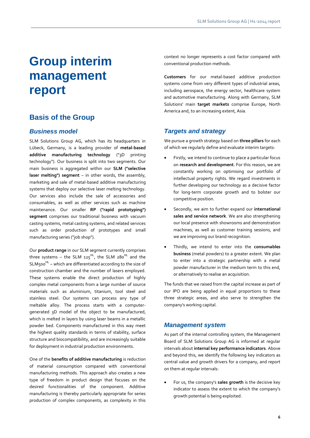# **Group interim management report**

## **Basis of the Group**

### *Business model*

SLM Solutions Group AG, which has its headquarters in Lübeck, Germany, is a leading provider of **metal-based additive manufacturing technology** ("3D printing technology"). Our business is split into two segments. Our main business is aggregated within our **SLM ("selective laser melting") segment** – in other words, the assembly, marketing and sale of metal-based additive manufacturing systems that deploy our selective laser melting technology. Our services also include the sale of accessories and consumables, as well as other services such as machine maintenance. Our smaller **RP ("rapid prototyping") segment** comprises our traditional business with vacuum casting systems, metal casting systems, and related services such as order production of prototypes and small manufacturing series ("job shop").

Our **product range** in our SLM segment currently comprises three systems – the SLM  $125^{HL}$ , the SLM  $280^{HL}$  and the SLM500<sup>HL</sup> – which are differentiated according to the size of construction chamber and the number of lasers employed. These systems enable the direct production of highly complex metal components from a large number of source materials such as aluminium, titanium, tool steel and stainless steel. Our systems can process any type of meltable alloy. The process starts with a computergenerated 3D model of the object to be manufactured, which is melted in layers by using laser beams in a metallic powder bed. Components manufactured in this way meet the highest quality standards in terms of stability, surface structure and biocompatibility, and are increasingly suitable for deployment in industrial production environments.

One of the **benefits of additive manufacturing** is reduction of material consumption compared with conventional manufacturing methods. This approach also creates a new type of freedom in product design that focuses on the desired functionalities of the component. Additive manufacturing is thereby particularly appropriate for series production of complex components, as complexity in this context no longer represents a cost factor compared with conventional production methods.

**Customers** for our metal-based additive production systems come from very different types of industrial areas, including aerospace, the energy sector, healthcare system and automotive manufacturing. Along with Germany, SLM Solutions' main **target markets** comprise Europe, North America and, to an increasing extent, Asia.

### *Targets and strategy*

We pursue a growth strategy based on **three pillars** for each of which we regularly define and evaluate interim targets:

- Firstly, we intend to continue to place a particular focus on **research and development**. For this reason, we are constantly working on optimising our portfolio of intellectual property rights. We regard investments in further developing our technology as a decisive factor for long-term corporate growth and to bolster our competitive position.
- Secondly, we aim to further expand our **international sales and service network**. We are also strengthening our local presence with showrooms and demonstration machines, as well as customer training sessions, and we are improving our brand recognition.
- Thirdly, we intend to enter into the **consumables business** (metal powders) to a greater extent. We plan to enter into a strategic partnership with a metal powder manufacturer in the medium term to this end, or alternatively to realise an acquisition.

The funds that we raised from the capital increase as part of our IPO are being applied in equal proportions to these three strategic areas, and also serve to strengthen the company's working capital.

#### *Management system*

As part of the internal controlling system, the Management Board of SLM Solutions Group AG is informed at regular intervals about **internal key performance indicators**. Above and beyond this, we identify the following key indicators as central value and growth drivers for a company, and report on them at regular intervals:

 For us, the company's **sales growth** is the decisive key indicator to assess the extent to which the company's growth potential is being exploited.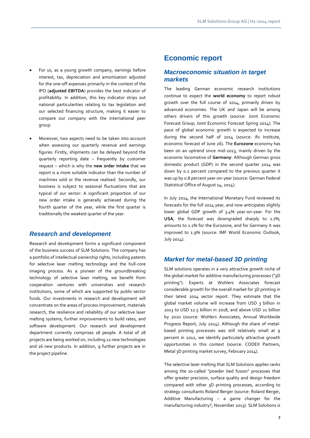- For us, as a young growth company, earnings before interest, tax, depreciation and amortisation adjusted for the one-off expenses primarily in the context of the IPO (**adjusted EBITDA**) provides the best indicator of profitability. In addition, this key indicator strips out national particularities relating to tax legislation and our selected financing structure, making it easier to compare our company with the international peer group.
- Moreover, two aspects need to be taken into account when assessing our quarterly revenue and earnings figures: Firstly, shipments can be delayed beyond the quarterly reporting date – frequently by customer request – which is why the **new order intake** that we report is a more suitable indicator than the number of machines sold or the revenue realised. Secondly, our business is subject to seasonal fluctuations that are typical of our sector: A significant proportion of our new order intake is generally achieved during the fourth quarter of the year, while the first quarter is traditionally the weakest quarter of the year.

## *Research and development*

Research and development forms a significant component of the business success of SLM Solutions. The company has a portfolio of intellectual ownership rights, including patents for selective laser melting technology and the hull-core imaging process. As a pioneer of the groundbreaking technology of selective laser melting, we benefit from cooperation ventures with universities and research institutions, some of which are supported by public-sector funds. Our investments in research and development will concentrate on the areas of process improvement, materials research, the resilience and reliability of our selective laser melting systems, further improvements to build rates, and software development. Our research and development department currently comprises 18 people. A total of 28 projects are being worked on, including 12 new technologies and 16 new products. In addition, 9 further projects are in the project pipeline.

## **Economic report**

#### *Macroeconomic situation in target markets*

The leading German economic research institutions continue to expect the **world economy** to report robust growth over the full course of 2014, primarily driven by advanced economies. The UK and Japan will be among others drivers of this growth (source: Joint Economic Forecast Group; Joint Economic Forecast Spring 2014). The pace of global economic growth is expected to increase during the second half of 2014 (source: ifo Institute, economic forecast of June 26). The **Eurozone** economy has been on an uptrend since mid-2013, mainly driven by the economic locomotive of **Germany**: Although German gross domestic product (GDP) in the second quarter 2014 was down by 0.2 percent compared to the previous quarter it was up by 0.8 percent year-on-year (source: German Federal Statistical Office of August 14, 2014).

In July 2014, the International Monetary Fund reviewed its forecasts for the full 2014 year, and now anticipates slightly lower global GDP growth of 3.4% year-on-year. For the USA, the forecast was downgraded sharply to 1.7%, amounts to 1.1% for the Eurozone, and for Germany it was improved to 1.9% (source: IMF World Economic Outlook, July 2014).

#### *Market for metal-based 3D printing*

SLM solutions operates in a very attractive growth niche of the global market for additive manufacturing processes ("3D printing"). Experts at Wohlers Associates forecast considerable growth for the overall market for 3D printing in their latest 2014 sector report. They estimate that the global market volume will increase from USD 3 billion in 2013 to USD 12.5 billion in 2018, and above USD 21 billion by 2020 (source: Wohlers Associates, Annual Worldwide Progress Report, July 2014). Although the share of metalbased printing processes was still relatively small at 9 percent in 2012, we identify particularly attractive growth opportunities in this context (source: CODEX Partners, Metal 3D printing market survey, February 2014).

The selective laser melting that SLM Solutions applies ranks among the so-called "powder bed fusion" processes that offer greater precision, surface quality and design freedom compared with other 3D printing processes, according to strategy consultants Roland Berger (source: Roland Berger, Additive Manufacturing – a game changer for the manufacturing industry?, November 2013). SLM Solutions is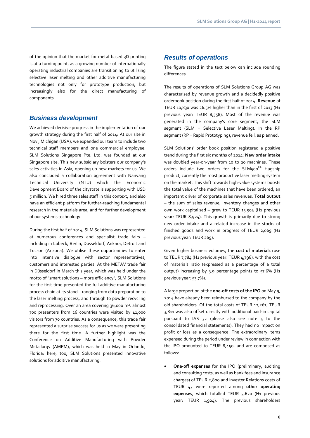of the opinion that the market for metal-based 3D printing is at a turning point, as a growing number of internationally operating industrial companies are transitioning to utilising selective laser melting and other additive manufacturing technologies not only for prototype production, but increasingly also for the direct manufacturing of components.

#### *Business development*

We achieved decisive progress in the implementation of our growth strategy during the first half of 2014: At our site in Novi, Michigan (USA), we expanded our team to include two technical staff members and one commercial employee. SLM Solutions Singapore Pte. Ltd. was founded at our Singapore site. This new subsidiary bolsters our company's sales activities in Asia, opening up new markets for us. We also concluded a collaboration agreement with Nanyang Technical University (NTU) which the Economic Development Board of the citystate is supporting with USD 5 million. We hired three sales staff in this context, and also have an efficient platform for further-reaching fundamental research in the materials area, and for further development of our systems technology.

During the first half of 2014, SLM Solutions was represented at numerous conferences and specialist trade fairs – including in Lübeck, Berlin, Düsseldorf, Ankara, Detroit and Tucson (Arizona). We utilise these opportunities to enter into intensive dialogue with sector representatives, customers and interested parties. At the METAV trade fair in Düsseldorf in March this year, which was held under the motto of "smart solutions – more efficiency", SLM Solutions for the first-time presented the full additive manufacturing process chain at its stand – ranging from data preparation to the laser melting process, and through to powder recycling and reprocessing. Over an area covering 36,000 m², almost 700 presenters from 26 countries were visited by 41,000 visitors from 70 countries. As a consequence, this trade fair represented a surprise success for us as we were presenting there for the first time. A further highlight was the Conference on Additive Manufacturing with Powder Metallurgy (AMPM), which was held in May in Orlando, Florida: here, too, SLM Solutions presented innovative solutions for additive manufacturing.

#### *Results of operations*

The figure stated in the text below can include rounding differences.

The results of operations of SLM Solutions Group AG was characterised by revenue growth and a decidedly positive orderbook position during the first half of 2014. **Revenue** of TEUR 10,830 was 26.5% higher than in the first of 2013 (H1 previous year: TEUR 8,558). Most of the revenue was generated in the company's core segment, the SLM segment (SLM = Selective Laser Melting). In the RP segment (RP = Rapid Prototyping), revenue fell, as planned.

SLM Solutions' order book position registered a positive trend during the first six months of 2014: **New order intake** was doubled year-on-year from 10 to 20 machines. These orders include two orders for the SLM500<sup>HL</sup> flagship product, currently the most productive laser melting system on the market. This shift towards high-value systems boosts the total value of the machines that have been ordered, an important driver of corporate sales revenues. **Total output** – the sum of sales revenue, inventory changes and other own work capitalised – grew to TEUR 13,504 (H1 previous year: TEUR 8,924). This growth is primarily due to strong new order intake and a related increase in the stocks of finished goods and work in progress of TEUR 2,069 (H1 previous year: TEUR 269).

Given higher business volumes, the **cost of materials** rose to TEUR 7,784 (H1 previous year: TEUR 4,796), with the cost of materials ratio (expressed as a percentage of a total output) increasing by 3.9 percentage points to 57.6% (H1 previous year: 53.7%).

A large proportion of the **one-off costs of the IPO** on May 9, 2014 have already been reimbursed to the company by the old shareholders. Of the total costs of TEUR 12,261, TEUR 3,811 was also offset directly with additional paid-in capital pursuant to IAS 32 (please also see note 5 to the consolidated financial statements). They had no impact on profit or loss as a consequence. The extraordinary items expensed during the period under review in connection with the IPO amounted to TEUR 8,450, and are composed as follows:

 **One-off expenses** for the IPO (preliminary, auditing and consulting costs, as well as bank fees and insurance charges) of TEUR 2,800 and Invester Relations costs of TEUR 43 were reported among **other operating expenses**, which totalled TEUR 5,620 (H1 previous year: TEUR 1,924). The previous shareholders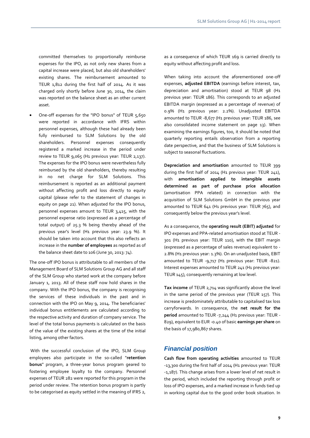committed themselves to proportionally reimburse expenses for the IPO, as not only new shares from a capital increase were placed, but also old shareholders' existing shares. The reimbursement amounted to TEUR 1,812 during the first half of 2014. As it was charged only shortly before June 30, 2014, the claim was reported on the balance sheet as an other current asset.

 One-off expenses for the "IPO bonus" of TEUR 5,650 were reported in accordance with IFRS within personnel expenses, although these had already been fully reimbursed to SLM Solutions by the old shareholders. Personnel expenses consequently registered a marked increase in the period under review to TEUR 9,065 (H1 previous year: TEUR 2,137). The expenses for the IPO bonus were nevertheless fully reimbursed by the old shareholders, thereby resulting in no net charge for SLM Solutions. This reimbursement is reported as an additional payment without affecting profit and loss directly to equity capital (please refer to the statement of changes in equity on page 21). When adjusted for the IPO bonus, personnel expenses amount to TEUR 3,415, with the personnel expense ratio (expressed as a percentage of total output) of 25.3 % being thereby ahead of the previous year's level (H1 previous year: 23.9 %). It should be taken into account that this also reflects an increase in the **number of employees** as reported as of the balance sheet date to 106 (June 30, 2013: 74).

The one-off IPO bonus is attributable to all members of the Management Board of SLM Solutions Group AG and all staff of the SLM Group who started work at the company before January 1, 2013. All of these staff now hold shares in the company. With the IPO bonus, the company is recognising the services of these individuals in the past and in connection with the IPO on May 9, 2014. The beneficiaries' individual bonus entitlements are calculated according to the respective activity and duration of company service. The level of the total bonus payments is calculated on the basis of the value of the existing shares at the time of the initial listing, among other factors.

With the successful conclusion of the IPO, SLM Group employees also participate in the so-called "**retention bonus**" program, a three-year bonus program geared to fostering employee loyalty to the company. Personnel expenses of TEUR 282 were reported for this program in the period under review. The retention bonus program is partly to be categorised as equity settled in the meaning of IFRS 2,

as a consequence of which TEUR 169 is carried directly to equity without affecting profit and loss.

When taking into account the aforementioned one-off expenses, **adjusted EBITDA** (earnings before interest, tax, depreciation and amortisation) stood at TEUR 98 (H1 previous year: TEUR 186). This corresponds to an adjusted EBITDA margin (expressed as a percentage of revenue) of 0.9% (H1 previous year: 2.2%). Unadjusted EBITDA amounted to TEUR -8,677 (H1 previous year: TEUR 186, see also consolidated income statement on page 13). When examining the earnings figures, too, it should be noted that quarterly reporting entails observation from a reporting date perspective, and that the business of SLM Solutions is subject to seasonal fluctuations.

**Depreciation and amortisation** amounted to TEUR 399 during the first half of 2014 (H1 previous year: TEUR 241), with **amortisation applied to intangible assets determined as part of purchase price allocation** (amortisation PPA related) in connection with the acquisition of SLM Solutions GmbH in the previous year amounted to TEUR 641 (H1 previous year: TEUR 765), and consequently below the previous year's level.

As a consequence, the **operating result (EBIT) adjusted** for IPO expenses and PPA-related amortisation stood at TEUR - 301 (H1 previous year: TEUR 110), with the EBIT margin (expressed as a percentage of sales revenue) equivalent to - 2.8% (H1 previous year: 1.3%). On an unadjusted basis, EBIT amounted to TEUR -9,717 (H1 previous year: TEUR -821). Interest expenses amounted to TEUR 241 (H1 previous year: TEUR 145), consequently remaining at low level.

**Tax income** of TEUR 2,714 was significantly above the level in the same period of the previous year (TEUR 157). This increase is predominately attributable to capitalised tax loss carryforwards. In consequence, the **net result for the period** amounted to TEUR -7,244 (H1 previous year: TEUR - 829), equivalent to EUR -0.40 of basic **earnings per share** on the basis of 17,980,867 shares.

#### *Financial position*

**Cash flow from operating activities** amounted to TEUR -13,300 during the first half of 2014 (H1 previous year: TEUR -1,187). This change arises from a lower level of net result in the period, which included the reporting through profit or loss of IPO expenses, and a marked increase in funds tied up in working capital due to the good order book situation. In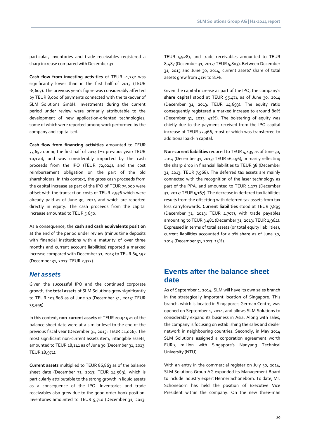particular, inventories and trade receivables registered a sharp increase compared with December 31.

**Cash flow from investing activities** of TEUR -1,232 was significantly lower than in the first half of 2013 (TEUR -8,607). The previous year's figure was considerably affected by TEUR 8,000 of payments connected with the takeover of SLM Solutions GmbH. Investments during the current period under review were primarily attributable to the development of new application-oriented technologies, some of which were reported among work performed by the company and capitalised.

**Cash flow from financing activities** amounted to TEUR 77,652 during the first half of 2014 (H1 previous year: TEUR 10,170), and was considerably impacted by the cash proceeds from the IPO (TEUR 72,024), and the cost reimbursement obligation on the part of the old shareholders. In this context, the gross cash proceeds from the capital increase as part of the IPO of TEUR 75,000 were offset with the transaction costs of TEUR 2,976 which were already paid as of June 30, 2014 and which are reported directly in equity. The cash proceeds from the capital increase amounted to TEUR 5,650.

As a consequence, the **cash and cash equivalents position** at the end of the period under review (minus time deposits with financial institutions with a maturity of over three months and current account liabilities) reported a marked increase compared with December 31, 2013 to TEUR 65,492 (December 31, 2013: TEUR 2,372).

#### *Net assets*

Given the successful IPO and the continued corporate growth, the **total assets** of SLM Solutions grew significantly to TEUR 107,808 as of June 30 (December 31, 2013: TEUR 35,595).

In this context, **non-current assets** of TEUR 20,945 as of the balance sheet date were at a similar level to the end of the previous fiscal year (December 31, 2013: TEUR 21,026). The most significant non-current assets item, intangible assets, amounted to TEUR 18,141 as of June 30 (December 31, 2013: TEUR 18,971).

**Current assets** multiplied to TEUR 86,863 as of the balance sheet date (December 31, 2013: TEUR 14,569), which is particularly attributable to the strong growth in liquid assets as a consequence of the IPO. Inventories and trade receivables also grew due to the good order book position. Inventories amounted to TEUR 9,710 (December 31, 2013: TEUR 5,928), and trade receivables amounted to TEUR 8,487 (December 31, 2013: TEUR 5,803). Between December 31, 2013 and June 30, 2014, current assets' share of total assets grew from 41% to 81%.

Given the capital increase as part of the IPO, the company's **share capital** stood at TEUR 95,474 as of June 30, 2014 (December 31, 2013: TEUR 14,693). The equity ratio consequently registered a marked increase to around 89% (December 31, 2013: 41%). The bolstering of equity was chiefly due to the payment received from the IPO capital increase of TEUR 72,366, most of which was transferred to additional paid-in capital.

**Non-current liabilities** reduced to TEUR 4,439 as of June 30, 2014 (December 31, 2013: TEUR 16,196), primarily reflecting the sharp drop in financial liabilities to TEUR 38 (December 31, 2013: TEUR 7,968). The deferred tax assets are mainly connected with the recognition of the laser technology as part of the PPA, and amounted to TEUR 1,173 (December 31, 2013: TEUR 5,167). The decrease in deffered tax liabilities results from the offsetting with deferred tax assets from tax loss carryforwards. **Current liabilities** stood at TEUR 7,895 (December 31, 2013: TEUR 4,707), with trade payables amounting to TEUR 3,481 (December 31, 2013: TEUR 1,964). Expressed in terms of total assets (or total equity liabilities), current liabilities accounted for a 7% share as of June 30, 2014 (December 31, 2013: 13%).

## **Events after the balance sheet date**

As of September 1, 2014, SLM will have its own sales branch in the strategically important location of Singapore. This branch, which is located in Singapore's German Centre, was opened on September 1, 2014, and allows SLM Solutions to considerably expand its business in Asia. Along with sales, the company is focusing on establishing the sales and dealer network in neighbouring countries. Secondly, in May 2014 SLM Solutions assigned a corporation agreement worth EUR 3 million with Singapore's Nanyang Technical University (NTU).

With an entry in the commercial register on July 30, 2014, SLM Solutions Group AG expanded its Management Board to include industry expert Henner Schöneborn. To date, Mr. Schöneborn has held the position of Executive Vice President within the company. On the new three-man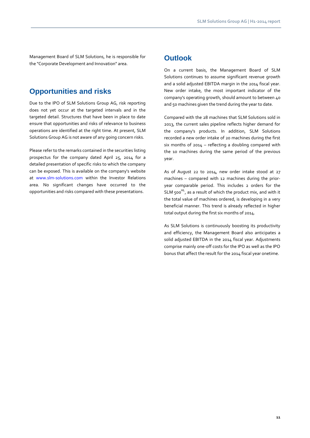Management Board of SLM Solutions, he is responsible for the "Corporate Development and Innovation" area.

## **Opportunities and risks**

Due to the IPO of SLM Solutions Group AG, risk reporting does not yet occur at the targeted intervals and in the targeted detail. Structures that have been in place to date ensure that opportunities and risks of relevance to business operations are identified at the right time. At present, SLM Solutions Group AG is not aware of any going concern risks.

Please refer to the remarks contained in the securities listing prospectus for the company dated April 25, 2014 for a detailed presentation of specific risks to which the company can be exposed. This is available on the company's website at [www.slm-solutions.com](http://www.slm-solutions.com/) within the Investor Relations area. No significant changes have occurred to the opportunities and risks compared with these presentations.

## **Outlook**

On a current basis, the Management Board of SLM Solutions continues to assume significant revenue growth and a solid adjusted EBITDA margin in the 2014 fiscal year. New order intake, the most important indicator of the company's operating growth, should amount to between 40 and 50 machines given the trend during the year to date.

Compared with the 28 machines that SLM Solutions sold in 2013, the current sales pipeline reflects higher demand for the company's products. In addition, SLM Solutions recorded a new order intake of 20 machines during the first six months of 2014 – reflecting a doubling compared with the 10 machines during the same period of the previous year.

As of August 22 to 2014, new order intake stood at 27 machines – compared with 12 machines during the prioryear comparable period. This includes 2 orders for the SLM  $500^{HL}$ , as a result of which the product mix, and with it the total value of machines ordered, is developing in a very beneficial manner. This trend is already reflected in higher total output during the first six months of 2014.

As SLM Solutions is continuously boosting its productivity and efficiency, the Management Board also anticipates a solid adjusted EBITDA in the 2014 fiscal year. Adjustments comprise mainly one-off costs for the IPO as well as the IPO bonus that affect the result for the 2014 fiscal year onetime.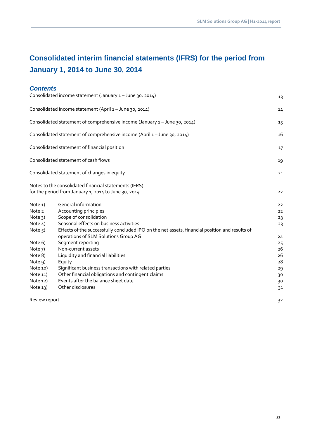## **Consolidated interim financial statements (IFRS) for the period from January 1, 2014 to June 30, 2014**

### *Contents*

|                     | Consolidated income statement (January 1 - June 30, 2014)                                                                              | 13       |
|---------------------|----------------------------------------------------------------------------------------------------------------------------------------|----------|
|                     | Consolidated income statement (April 1 - June 30, 2014)                                                                                | 14       |
|                     | Consolidated statement of comprehensive income (January 1 - June 30, 2014)                                                             | 15       |
|                     | Consolidated statement of comprehensive income (April 1 - June 30, 2014)                                                               | 16       |
|                     | Consolidated statement of financial position                                                                                           | 17       |
|                     | Consolidated statement of cash flows                                                                                                   | 19       |
|                     | Consolidated statement of changes in equity                                                                                            | 21       |
|                     | Notes to the consolidated financial statements (IFRS)<br>for the period from January 1, 2014 to June 30, 2014                          | 22       |
| Note <sub>1</sub> ) | General information                                                                                                                    | 22       |
| Note 2              | Accounting principles                                                                                                                  | 22       |
| Note $3)$           | Scope of consolidation                                                                                                                 | 23       |
| Note $4)$           | Seasonal effects on business activities                                                                                                | 23       |
| Note $5$ )          | Effects of the successfully concluded IPO on the net assets, financial position and results of<br>operations of SLM Solutions Group AG |          |
| Note 6)             | Segment reporting                                                                                                                      | 24       |
| Note 7)             | Non-current assets                                                                                                                     | 25<br>26 |
| Note 8)             | Liquidity and financial liabilities                                                                                                    | 26       |
| Note 9)             | Equity                                                                                                                                 | 28       |
| Note 10)            | Significant business transactions with related parties                                                                                 | 29       |
| Note 11)            | Other financial obligations and contingent claims                                                                                      | 30       |
| Note $12)$          | Events after the balance sheet date                                                                                                    | 30       |
| Note $13)$          | Other disclosures                                                                                                                      | 31       |
| Review report       |                                                                                                                                        | 32       |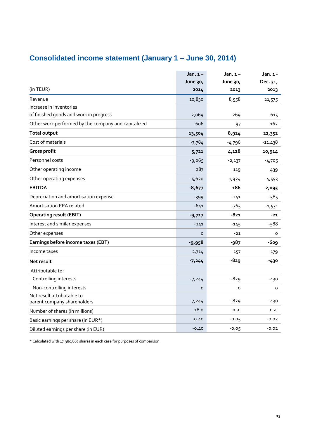## **Consolidated income statement (January 1 – June 30, 2014)**

|                                                           | Jan. $1-$ | Jan. $1-$ | Jan. 1 -  |
|-----------------------------------------------------------|-----------|-----------|-----------|
|                                                           | June 30,  | June 30,  | Dec. 31,  |
| (in TEUR)                                                 | 2014      | 2013      | 2013      |
| Revenue                                                   | 10,830    | 8,558     | 21,575    |
| Increase in inventories                                   |           |           |           |
| of finished goods and work in progress                    | 2,069     | 269       | 615       |
| Other work performed by the company and capitalized       | 606       | 97        | 162       |
| <b>Total output</b>                                       | 13,504    | 8,924     | 22,352    |
| Cost of materials                                         | $-7,784$  | $-4,796$  | $-11,438$ |
| Gross profit                                              | 5,721     | 4,128     | 10,914    |
| Personnel costs                                           | $-9,065$  | $-2,137$  | $-4,705$  |
| Other operating income                                    | 287       | 119       | 439       |
| Other operating expenses                                  | $-5,620$  | $-1,924$  | $-4,553$  |
| <b>EBITDA</b>                                             | $-8,677$  | 186       | 2,095     |
| Depreciation and amortisation expense                     | $-399$    | $-241$    | $-585$    |
| Amortisation PPA related                                  | $-641$    | -765      | $-1,531$  |
| <b>Operating result (EBIT)</b>                            | $-9,717$  | -821      | $-21$     |
| Interest and similar expenses                             | $-241$    | $-145$    | $-588$    |
| Other expenses                                            | $\circ$   | $-21$     | 0         |
| Earnings before income taxes (EBT)                        | $-9,958$  | $-987$    | -609      |
| Income taxes                                              | 2,714     | 157       | 179       |
| Net result                                                | $-7,244$  | -829      | -430      |
| Attributable to:                                          |           |           |           |
| Controlling interests                                     | $-7,244$  | $-829$    | -430      |
| Non-controlling interests                                 | $\circ$   | o         | 0         |
| Net result attributable to<br>parent company shareholders | $-7,244$  | $-829$    | -430      |
| Number of shares (in millions)                            | 18.0      | n.a.      | n.a.      |
| Basic earnings per share (in EUR*)                        | $-0.40$   | $-0.05$   | $-0.02$   |
| Diluted earnings per share (in EUR)                       | $-0.40$   | $-0.05$   | $-0.02$   |

\* Calculated with 17,980,867 shares in each case for purposes of comparison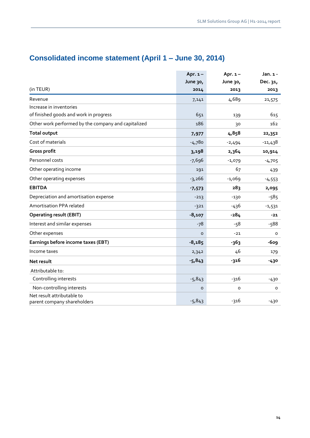|                                                           | Apr. $1 -$ | Apr. $1 -$ | Jan. 1 -  |
|-----------------------------------------------------------|------------|------------|-----------|
|                                                           | June 30,   | June 30,   | Dec. 31,  |
| (in TEUR)                                                 | 2014       | 2013       | 2013      |
| Revenue                                                   | 7,141      | 4,689      | 21,575    |
| Increase in inventories                                   |            |            |           |
| of finished goods and work in progress                    | 651        | 139        | 615       |
| Other work performed by the company and capitalized       | 186        | 30         | 162       |
| <b>Total output</b>                                       | 7,977      | 4,858      | 22,352    |
| Cost of materials                                         | $-4,780$   | $-2,494$   | $-11,438$ |
| Gross profit                                              | 3,198      | 2,364      | 10,914    |
| Personnel costs                                           | $-7,696$   | $-1,079$   | $-4,705$  |
| Other operating income                                    | 191        | 67         | 439       |
| Other operating expenses                                  | $-3,266$   | $-1,069$   | $-4,553$  |
| <b>EBITDA</b>                                             | $-7,573$   | 283        | 2,095     |
| Depreciation and amortisation expense                     | $-213$     | $-130$     | $-585$    |
| Amortisation PPA related                                  | $-321$     | -436       | $-1,531$  |
| <b>Operating result (EBIT)</b>                            | $-8,107$   | $-284$     | $-21$     |
| Interest and similar expenses                             | $-78$      | $-58$      | $-588$    |
| Other expenses                                            | $\circ$    | $-21$      | O         |
| Earnings before income taxes (EBT)                        | $-8,185$   | -363       | -609      |
| Income taxes                                              | 2,342      | 46         | 179       |
| Net result                                                | $-5,843$   | -316       | $-430$    |
| Attributable to:                                          |            |            |           |
| Controlling interests                                     | $-5,843$   | -316       | $-430$    |
| Non-controlling interests                                 | $\circ$    | $\circ$    | 0         |
| Net result attributable to<br>parent company shareholders | $-5,843$   | $-316$     | $-430$    |

## **Consolidated income statement (April 1 – June 30, 2014)**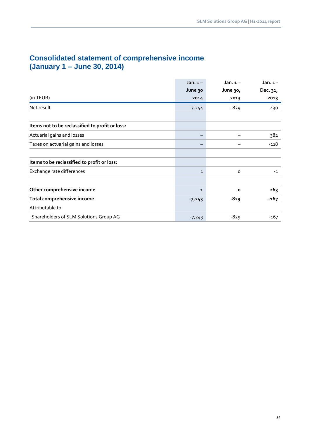## **Consolidated statement of comprehensive income (January 1 – June 30, 2014)**

|                                                 | Jan. $1-$    | Jan. $1-$    | Jan. 1 - |
|-------------------------------------------------|--------------|--------------|----------|
|                                                 | June 30      | June 30,     | Dec. 31, |
| (in TEUR)                                       | 2014         | 2013         | 2013     |
| Net result                                      | $-7,244$     | $-829$       | -430     |
|                                                 |              |              |          |
| Items not to be reclassified to profit or loss: |              |              |          |
| Actuarial gains and losses                      |              |              | 382      |
| Taxes on actuarial gains and losses             |              |              | -118     |
| Items to be reclassified to profit or loss:     |              |              |          |
| Exchange rate differences                       | $\mathbf{1}$ | $\circ$      | $-1$     |
| Other comprehensive income                      | 1            | $\mathbf{o}$ | 263      |
| Total comprehensive income                      | $-7,243$     | -829         | $-167$   |
| Attributable to                                 |              |              |          |
| Shareholders of SLM Solutions Group AG          | $-7,243$     | $-829$       | -167     |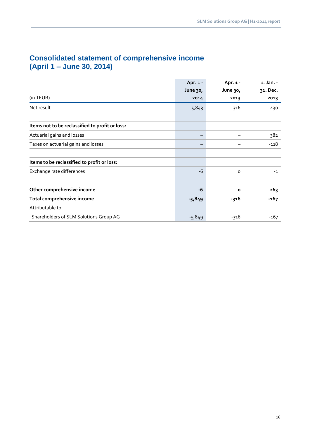|                                                 | Apr. $1 -$ | Apr. 1 - | 1. Jan. - |
|-------------------------------------------------|------------|----------|-----------|
|                                                 | June 30,   | June 30, | 31. Dec.  |
| (in TEUR)                                       | 2014       | 2013     | 2013      |
| Net result                                      | $-5,843$   | $-316$   | -430      |
|                                                 |            |          |           |
| Items not to be reclassified to profit or loss: |            |          |           |
| Actuarial gains and losses                      |            |          | 382       |
| Taxes on actuarial gains and losses             |            |          | $-118$    |
|                                                 |            |          |           |
| Items to be reclassified to profit or loss:     |            |          |           |
| Exchange rate differences                       | $-6$       | o        | $-1$      |
|                                                 |            |          |           |
| Other comprehensive income                      | $-6$       | $\circ$  | 263       |
| Total comprehensive income                      | $-5,849$   | -316     | $-167$    |
| Attributable to                                 |            |          |           |
| Shareholders of SLM Solutions Group AG          | $-5,849$   | -316     | $-167$    |

## **Consolidated statement of comprehensive income (April 1 – June 30, 2014)**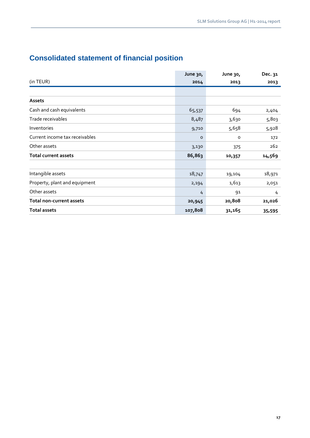## **Consolidated statement of financial position**

|                                 | June 30, | June 30, | Dec. 31 |
|---------------------------------|----------|----------|---------|
| (in TEUR)                       | 2014     | 2013     | 2013    |
|                                 |          |          |         |
| Assets                          |          |          |         |
| Cash and cash equivalents       | 65,537   | 694      | 2,404   |
| Trade receivables               | 8,487    | 3,630    | 5,803   |
| Inventories                     | 9,710    | 5,658    | 5,928   |
| Current income tax receivables  | o        | o        | 172     |
| Other assets                    | 3,130    | 375      | 262     |
| <b>Total current assets</b>     | 86,863   | 10,357   | 14,569  |
|                                 |          |          |         |
| Intangible assets               | 18,747   | 19,104   | 18,971  |
| Property, plant and equipment   | 2,194    | 1,613    | 2,051   |
| Other assets                    | 4        | 91       | 4       |
| <b>Total non-current assets</b> | 20,945   | 20,808   | 21,026  |
| <b>Total assets</b>             | 107,808  | 31,165   | 35,595  |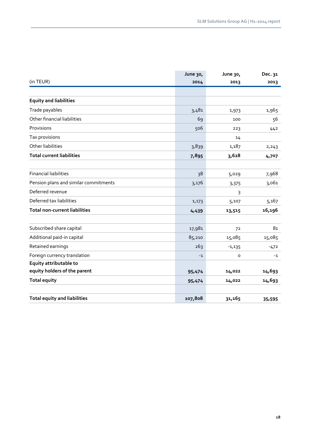|                                       | June 30, | June 30, | Dec. 31 |
|---------------------------------------|----------|----------|---------|
| (in TEUR)                             | 2014     | 2013     | 2013    |
|                                       |          |          |         |
| <b>Equity and liabilities</b>         |          |          |         |
| Trade payables                        | 3,481    | 1,973    | 1,965   |
| Other financial liabilities           | 69       | 100      | 56      |
| Provisions                            | 506      | 223      | 442     |
| Tax provisions                        |          | 14       |         |
| Other liabilities                     | 3,839    | 1,187    | 2, 243  |
| <b>Total current liabilities</b>      | 7,895    | 3,628    | 4,707   |
|                                       |          |          |         |
| <b>Financial liabilities</b>          | 38       | 5,029    | 7,968   |
| Pension plans and similar commitments | 3,176    | 3,375    | 3,061   |
| Deferred revenue                      |          | 3        |         |
| Deferred tax liabilities              | 1,173    | 5,107    | 5,167   |
| <b>Total non-current liabilities</b>  | 4,439    | 13,515   | 16,196  |
|                                       |          |          |         |
| Subscribed share capital              | 17,981   | 72       | 81      |
| Additional paid-in capital            | 85,210   | 15,085   | 15,085  |
| Retained earnings                     | 263      | $-1,135$ | $-472$  |
| Foreign currency translation          | $-1$     | 0        | $-1$    |
| Equity attributable to                |          |          |         |
| equity holders of the parent          | 95,474   | 14,022   | 14,693  |
| <b>Total equity</b>                   | 95,474   | 14,022   | 14,693  |
|                                       |          |          |         |
| <b>Total equity and liabilities</b>   | 107,808  | 31,165   | 35,595  |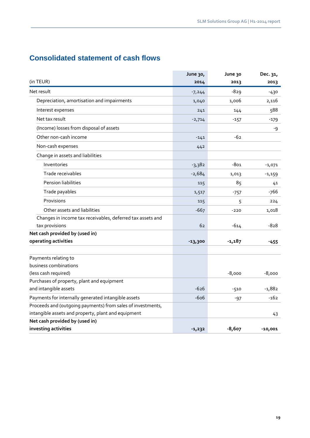## **Consolidated statement of cash flows**

|                                                             | June 30,  | June 30  | Dec. 31,  |
|-------------------------------------------------------------|-----------|----------|-----------|
| (in TEUR)                                                   | 2014      | 2013     | 2013      |
| Net result                                                  | $-7,244$  | $-829$   | $-430$    |
| Depreciation, amortisation and impairments                  | 1,040     | 1,006    | 2,116     |
| Interest expenses                                           | 241       | 144      | 588       |
| Net tax result                                              | $-2,714$  | $-157$   | -179      |
| (Income) losses from disposal of assets                     |           |          | -9        |
| Other non-cash income                                       | $-141$    | $-62$    |           |
| Non-cash expenses                                           | 442       |          |           |
| Change in assets and liabilities                            |           |          |           |
| Inventories                                                 | $-3,382$  | -801     | $-1,071$  |
| Trade receivables                                           | $-2,684$  | 1,013    | $-1,159$  |
| Pension liabilities                                         | 115       | 85       | 41        |
| Trade payables                                              | 1,517     | $-757$   | -766      |
| Provisions                                                  | 115       | 5        | 224       |
| Other assets and liabilities                                | $-667$    | $-220$   | 1,018     |
| Changes in income tax receivables, deferred tax assets and  |           |          |           |
| tax provisions                                              | 62        | $-614$   | $-828$    |
| Net cash provided by (used in)                              |           |          |           |
| operating activities                                        | $-13,300$ | $-1,187$ | $-455$    |
|                                                             |           |          |           |
| Payments relating to                                        |           |          |           |
| business combinations                                       |           |          |           |
| (less cash required)                                        |           | $-8,000$ | $-8,000$  |
| Purchases of property, plant and equipment                  |           |          |           |
| and intangible assets                                       | $-626$    | $-510$   | $-1,882$  |
| Payments for internally generated intangible assets         | $-606$    | $-97$    | $-162$    |
| Proceeds and (outgoing payments) from sales of investments, |           |          |           |
| intangible assets and property, plant and equipment         |           |          | 43        |
| Net cash provided by (used in)                              |           |          |           |
| investing activities                                        | $-1,232$  | $-8,607$ | $-10,001$ |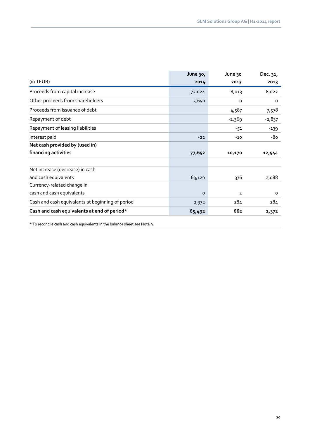| June 30, | June 30        | Dec. 31, |
|----------|----------------|----------|
| 2014     | 2013           | 2013     |
| 72,024   | 8,013          | 8,022    |
| 5,650    | o              | $\circ$  |
|          | 4,587          | 7,578    |
|          | $-2,369$       | $-2,837$ |
|          | -51            | $-139$   |
| $-22$    | $-10$          | -80      |
|          |                |          |
| 77,652   | 10,170         | 12,544   |
|          |                |          |
|          |                |          |
| 63,120   | 376            | 2,088    |
|          |                |          |
| $\circ$  | $\overline{2}$ | $\circ$  |
| 2,372    | 284            | 284      |
| 65,492   | 662            | 2,372    |
|          |                |          |

\* To reconcile cash and cash equivalents in the balance sheet see Note 9.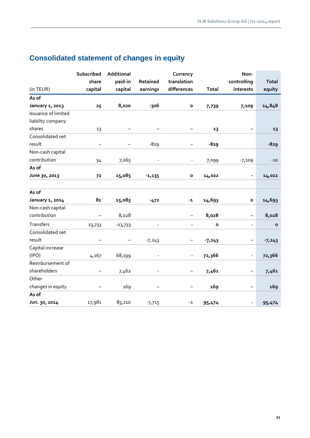|                     | Subscribed     | Additional |                          | Currency          |              | Non-                     |              |
|---------------------|----------------|------------|--------------------------|-------------------|--------------|--------------------------|--------------|
|                     | share          | paid-in    | Retained                 | translation       |              | controlling              | <b>Total</b> |
| (in TEUR)           | capital        | capital    | earnings                 | differences       | <b>Total</b> | interests                | equity       |
| As of               |                |            |                          |                   |              |                          |              |
| January 1, 2013     | 25             | 8,020      | -306                     | $\mathbf{o}$      | 7,739        | 7,109                    | 14,848       |
| Issuance of limited |                |            |                          |                   |              |                          |              |
| liability company   |                |            |                          |                   |              |                          |              |
| shares              | 13             |            |                          |                   | 13           |                          | 13           |
| Consolidated net    |                |            |                          |                   |              |                          |              |
| result              |                |            | $-829$                   | —                 | $-829$       |                          | $-829$       |
| Non-cash capital    |                |            |                          |                   |              |                          |              |
| contribution        | 34             | 7,065      | $\overline{\phantom{a}}$ | $\blacksquare$    | 7,099        | $-7,109$                 | $-10$        |
| As of               |                |            |                          |                   |              |                          |              |
| June 30, 2013       | 72             | 15,085     | $-1,135$                 | o                 | 14,022       | -                        | 14,022       |
| As of               |                |            |                          |                   |              |                          |              |
| January 1, 2014     | 8 <sub>1</sub> | 15,085     | $-472$                   | $-1$              | 14,693       | $\mathbf{o}$             | 14,693       |
| Non-cash capital    |                |            |                          |                   |              |                          |              |
| contribution        |                | 8,028      |                          |                   | 8,028        | -                        | 8,028        |
| Transfers           | 13,733         | $-13,733$  | $\blacksquare$           | $\blacksquare$    | $\mathbf{o}$ | $\overline{\phantom{0}}$ | $\mathbf{o}$ |
| Consolidated net    |                |            |                          |                   |              |                          |              |
| result              |                |            | $-7,243$                 | -                 | $-7,243$     | -                        | $-7,243$     |
| Capital increase    |                |            |                          |                   |              |                          |              |
| (IPO)               | 4,167          | 68,199     | $\blacksquare$           | $\blacksquare$    | 72,366       | $\overline{\phantom{0}}$ | 72,366       |
| Reimbursement of    |                |            |                          |                   |              |                          |              |
| shareholders        |                | 7,462      | $\blacksquare$           | $\qquad \qquad -$ | 7,461        | $\qquad \qquad -$        | 7,461        |
| Other               |                |            |                          |                   |              |                          |              |
| changes in equity   |                | 169        |                          |                   | 169          | $\overline{\phantom{0}}$ | 169          |
| As of               |                |            |                          |                   |              |                          |              |
| Jun. 30, 2014       | 17,981         | 85,210     | $-7,715$                 | $-1$              | 95,474       | $\overline{\phantom{0}}$ | 95,474       |

## **Consolidated statement of changes in equity**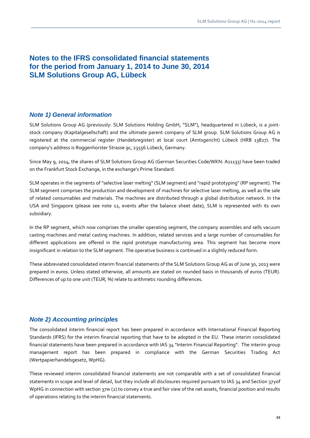## **Notes to the IFRS consolidated financial statements for the period from January 1, 2014 to June 30, 2014 SLM Solutions Group AG, Lübeck**

### *Note 1) General information*

SLM Solutions Group AG (previously: SLM Solutions Holding GmbH, "SLM"), headquartered in Lübeck, is a jointstock company (Kapitalgesellschaft) and the ultimate parent company of SLM group. SLM Solutions Group AG is registered at the commercial register (Handelsregister) at local court (Amtsgericht) Lübeck (HRB 13827). The company's address is Roggenhorster Strasse 9c, 23556 Lübeck, Germany.

Since May 9, 2014, the shares of SLM Solutions Group AG (German Securities Code/WKN: A11133) have been traded on the Frankfurt Stock Exchange, in the exchange's Prime Standard.

SLM operates in the segments of "selective laser melting" (SLM segment) and "rapid prototyping" (RP segment). The SLM segment comprises the production and development of machines for selective laser melting, as well as the sale of related consumables and materials. The machines are distributed through a global distribution network. In the USA and Singapore (please see note 12, events after the balance sheet date), SLM is represented with its own subsidiary.

In the RP segment, which now comprises the smaller operating segment, the company assembles and sells vacuum casting machines and metal casting machines. In addition, related services and a large number of consumables for different applications are offered in the rapid prototype manufacturing area. This segment has become more insignificant in relation to the SLM segment. The operative business is continued in a slightly reduced form.

These abbreviated consolidated interim financial statements of the SLM Solutions Group AG as of June 30, 2013 were prepared in euros. Unless stated otherwise, all amounts are stated on rounded basis in thousands of euros (TEUR). Differences of up to one unit (TEUR, %) relate to arithmetic rounding differences.

## *Note 2) Accounting principles*

The consolidated interim financial report has been prepared in accordance with International Financial Reporting Standards (IFRS) for the interim financial reporting that have to be adopted in the EU. These interim consolidated financial statements have been prepared in accordance with IAS 34 "Interim Financial Reporting". The interim group management report has been prepared in compliance with the German Securities Trading Act (Wertpapierhandelsgesetz, WpHG).

These reviewed interim consolidated financial statements are not comparable with a set of consolidated financial statements in scope and level of detail, but they include all disclosures required pursuant to IAS 34 and Section 37yof WpHG in connection with section 37w (2) to convey a true and fair view of the net assets, financial position and results of operations relating to the interim financial statements.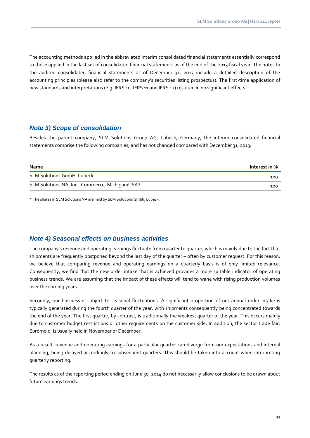The accounting methods applied in the abbreviated interim consolidated financial statements essentially correspond to those applied in the last set of consolidated financial statements as of the end of the 2013 fiscal year. The notes to the audited consolidated financial statements as of December 31, 2013 include a detailed description of the accounting principles (please also refer to the company's securities listing prospectus). The first-time application of new standards and interpretations (e.g. IFRS 10, IFRS 11 and IFRS 12) resulted in no significant effects.

#### *Note 3) Scope of consolidation*

Besides the parent company, SLM Solutions Group AG, Lübeck, Germany, the interim consolidated financial statements comprise the following companies, and has not changed compared with December 31, 2013:

| <b>Name</b>                                     | Interest in % |
|-------------------------------------------------|---------------|
| SLM Solutions GmbH, Lübeck                      | 100           |
| SLM Solutions NA, Inc., Commerce, Michigan/USA* | 100           |

\* The shares in SLM Solutions NA are held by SLM Solutions Gmbh, Lübeck.

#### *Note 4) Seasonal effects on business activities*

The company's revenue and operating earnings fluctuate from quarter to quarter, which is mainly due to the fact that shipments are frequently postponed beyond the last day of the quarter – often by customer request. For this reason, we believe that comparing revenue and operating earnings on a quarterly basis is of only limited relevance. Consequently, we find that the new order intake that is achieved provides a more suitable indicator of operating business trends. We are assuming that the impact of these effects will tend to wane with rising production volumes over the coming years.

Secondly, our business is subject to seasonal fluctuations. A significant proportion of our annual order intake is typically generated during the fourth quarter of the year, with shipments consequently being concentrated towards the end of the year. The first quarter, by contrast, is traditionally the weakest quarter of the year. This occurs mainly due to customer budget restrictions or other requirements on the customer side. In addition, the sector trade fair, Euromold, is usually held in November or December.

As a result, revenue and operating earnings for a particular quarter can diverge from our expectations and internal planning, being delayed accordingly to subsequent quarters. This should be taken into account when interpreting quarterly reporting.

The results as of the reporting period ending on June 30, 2014 do not necessarily allow conclusions to be drawn about future earnings trends.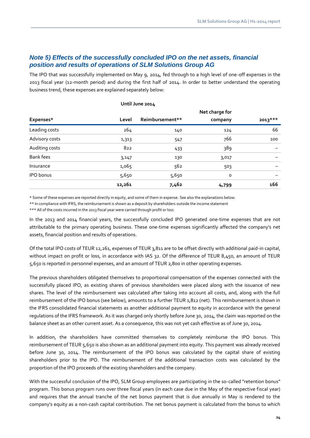## *Note 5) Effects of the successfully concluded IPO on the net assets, financial position and results of operations of SLM Solutions Group AG*

The IPO that was successfully implemented on May 9, 2014, fed through to a high level of one-off expenses in the 2013 fiscal year (12-month period) and during the first half of 2014. In order to better understand the operating business trend, these expenses are explained separately below:

|                  | Net charge for |                 |         |           |  |
|------------------|----------------|-----------------|---------|-----------|--|
| Expenses*        | Level          | Reimbursement** | company | $2013***$ |  |
| Leading costs    | 264            | 140             | 124     | 66        |  |
| Advisory costs   | 1,313          | 547             | 766     | 100       |  |
| Auditing costs   | 822            | 433             | 389     |           |  |
| <b>Bank fees</b> | 3,147          | 130             | 3,017   |           |  |
| Insurance        | 1,065          | 562             | 503     |           |  |
| <b>IPO</b> bonus | 5,650          | 5,650           | 0       |           |  |
|                  | 12,261         | 7,462           | 4,799   | 166       |  |

#### **Until June 2014**

\* Some of these expenses are reported directly in equity, and some of them in expense. See also the explanations below.

\*\* In compliance with IFRS, the reimbursement is shown as a deposit by shareholders outside the income statement

\*\*\* All of the costs incurred in the 2013 fiscal year were carried through profit or loss

In the 2013 and 2014 financial years, the successfully concluded IPO generated one-time expenses that are not attributable to the primary operating business. These one-time expenses significantly affected the company's net assets, financial position and results of operations.

Of the total IPO costs of TEUR 12,261, expenses of TEUR 3,811 are to be offset directly with additional paid-in capital, without impact on profit or loss, in accordance with IAS 32. Of the difference of TEUR 8,450, an amount of TEUR 5,650 is reported in personnel expenses, and an amount of TEUR 2,800 in other operating expenses.

The previous shareholders obligated themselves to proportional compensation of the expenses connected with the successfully placed IPO, as existing shares of previous shareholders were placed along with the issuance of new shares. The level of the reimbursement was calculated after taking into account all costs, and, along with the full reimbursement of the IPO bonus (see below), amounts to a further TEUR 1,812 (net). This reimbursement is shown in the IFRS consolidated financial statements as another additional payment to equity in accordance with the general regulations of the IFRS framework. As it was charged only shortly before June 30, 2014, the claim was reported on the balance sheet as an other current asset. As a consequence, this was not yet cash effective as of June 30, 2014.

In addition, the shareholders have committed themselves to completely reimburse the IPO bonus. This reimbursement of TEUR 5,650 is also shown as an additional payment into equity. This payment was already received before June 30, 2014. The reimbursement of the IPO bonus was calculated by the capital share of existing shareholders prior to the IPO. The reimbursement of the additional transaction costs was calculated by the proportion of the IPO proceeds of the existing shareholders and the company.

With the successful conclusion of the IPO, SLM Group employees are participating in the so-called "retention bonus" program. This bonus program runs over three fiscal years (in each case due in the May of the respective fiscal year) and requires that the annual tranche of the net bonus payment that is due annually in May is rendered to the company's equity as a non-cash capital contribution. The net bonus payment is calculated from the bonus to which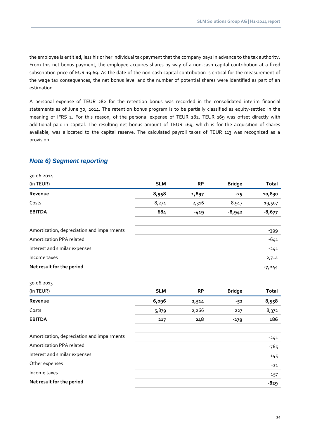the employee is entitled, less his or her individual tax payment that the company pays in advance to the tax authority. From this net bonus payment, the employee acquires shares by way of a non-cash capital contribution at a fixed subscription price of EUR 19.69. As the date of the non-cash capital contribution is critical for the measurement of the wage tax consequences, the net bonus level and the number of potential shares were identified as part of an estimation.

A personal expense of TEUR 282 for the retention bonus was recorded in the consolidated interim financial statements as of June 30, 2014. The retention bonus program is to be partially classified as equity-settled in the meaning of IFRS 2. For this reason, of the personal expense of TEUR 282, TEUR 169 was offset directly with additional paid-in capital. The resulting net bonus amount of TEUR 169, which is for the acquisition of shares available, was allocated to the capital reserve. The calculated payroll taxes of TEUR 113 was recognized as a provision.

## *Note 6) Segment reporting*

| 30.06.2014                                 |            |           |               |              |
|--------------------------------------------|------------|-----------|---------------|--------------|
| (in TEUR)                                  | <b>SLM</b> | <b>RP</b> | <b>Bridge</b> | <b>Total</b> |
| Revenue                                    | 8,958      | 1,897     | $-25$         | 10,830       |
| Costs                                      | 8,274      | 2,316     | 8,917         | 19,507       |
| <b>EBITDA</b>                              | 684        | $-419$    | $-8,942$      | $-8,677$     |
| Amortization, depreciation and impairments |            |           |               | $-399$       |
| Amortization PPA related                   |            |           |               | $-641$       |
| Interest and similar expenses              |            |           |               | $-241$       |
| Income taxes                               |            |           |               | 2,714        |
| Net result for the period                  |            |           |               | $-7,244$     |
| 30.06.2013                                 |            |           |               |              |
| (in TEUR)                                  | <b>SLM</b> | <b>RP</b> | <b>Bridge</b> | <b>Total</b> |
| Revenue                                    | 6,096      | 2,514     | $-52$         | 8,558        |
| Costs                                      | 5,879      | 2,266     | 227           | 8,372        |
| <b>EBITDA</b>                              | 217        | 248       | $-279$        | 186          |
| Amortization, depreciation and impairments |            |           |               | $-241$       |
| Amortization PPA related                   |            |           |               | $-765$       |
| Interest and similar expenses              |            |           |               | $-145$       |
| Other expenses                             |            |           |               | $-21$        |
| Income taxes                               |            |           |               | 157          |
| Net result for the period                  |            |           |               | $-829$       |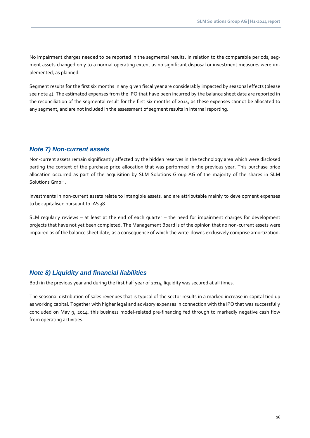No impairment charges needed to be reported in the segmental results. In relation to the comparable periods, segment assets changed only to a normal operating extent as no significant disposal or investment measures were implemented, as planned.

Segment results for the first six months in any given fiscal year are considerably impacted by seasonal effects (please see note 4). The estimated expenses from the IPO that have been incurred by the balance sheet date are reported in the reconciliation of the segmental result for the first six months of 2014, as these expenses cannot be allocated to any segment, and are not included in the assessment of segment results in internal reporting.

#### *Note 7) Non-current assets*

Non-current assets remain significantly affected by the hidden reserves in the technology area which were disclosed parting the context of the purchase price allocation that was performed in the previous year. This purchase price allocation occurred as part of the acquisition by SLM Solutions Group AG of the majority of the shares in SLM Solutions GmbH.

Investments in non-current assets relate to intangible assets, and are attributable mainly to development expenses to be capitalised pursuant to IAS 38.

SLM regularly reviews – at least at the end of each quarter – the need for impairment charges for development projects that have not yet been completed. The Management Board is of the opinion that no non-current assets were impaired as of the balance sheet date, as a consequence of which the write-downs exclusively comprise amortization.

### *Note 8) Liquidity and financial liabilities*

Both in the previous year and during the first half year of 2014, liquidity was secured at all times.

The seasonal distribution of sales revenues that is typical of the sector results in a marked increase in capital tied up as working capital. Together with higher legal and advisory expenses in connection with the IPO that was successfully concluded on May 9, 2014, this business model-related pre-financing fed through to markedly negative cash flow from operating activities.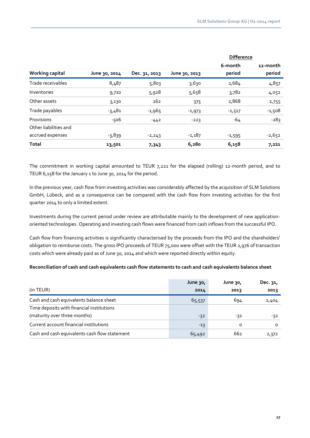|                        |               |               |               | <b>Difference</b> |                    |
|------------------------|---------------|---------------|---------------|-------------------|--------------------|
| <b>Working capital</b> | June 30, 2014 | Dec. 31, 2013 | June 30, 2013 | 6-month<br>period | 12-month<br>period |
| Trade receivables      | 8,487         | 5,803         | 3,630         | 2,684             | 4,857              |
| Inventories            | 9,710         | 5,928         | 5,658         | 3,782             | 4,052              |
| Other assets           | 3,130         | 262           | 375           | 2,868             | 2,755              |
| Trade payables         | $-3,481$      | $-1,965$      | $-1,973$      | $-1,517$          | $-1,508$           |
| Provisions             | $-506$        | $-442$        | $-223$        | -64               | $-283$             |
| Other liabilities and  |               |               |               |                   |                    |
| accrued expenses       | $-3,839$      | $-2,243$      | $-1,187$      | $-1,595$          | $-2,652$           |
| <b>Total</b>           | 13,501        | 7,343         | 6,280         | 6,158             | 7,221              |

The commitment in working capital amounted to TEUR 7,221 for the elapsed (rolling) 12-month period, and to TEUR 6,158 for the January 1 to June 30, 2014 for the period.

In the previous year, cash flow from investing activities was considerably affected by the acquisition of SLM Solutions GmbH, Lübeck, and as a consequence can be compared with the cash flow from investing activities for the first quarter 2014 to only a limited extent.

Investments during the current period under review are attributable mainly to the development of new applicationoriented technologies. Operating and investing cash flows were financed from cash inflows from the successful IPO.

Cash flow from financing activities is significantly characterised by the proceeds from the IPO and the shareholders' obligation to reimburse costs. The gross IPO proceeds of TEUR 75,000 were offset with the TEUR 2,976 of transaction costs which were already paid as of June 30, 2014 and which were reported directly within equity.

#### **Reconciliation of cash and cash equivalents cash flow statements to cash and cash equivalents balance sheet**

|                                               | June 30, | June 30, | Dec. 31, |
|-----------------------------------------------|----------|----------|----------|
| (in TEUR)                                     | 2014     | 2013     | 2013     |
| Cash and cash equivalents balance sheet       | 65,537   | 694      | 2,404    |
| Time deposits with financial institutions     |          |          |          |
| (maturity over three months)                  | $-32$    | -32      | -32      |
| Current account financial institutions        | $-13$    | $\Omega$ | $\Omega$ |
| Cash and cash equivalents cash flow statement | 65,492   | 662      | 2,372    |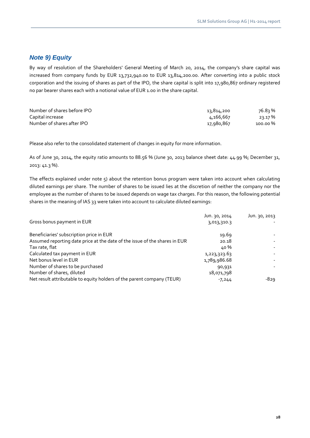## *Note 9) Equity*

By way of resolution of the Shareholders' General Meeting of March 20, 2014, the company's share capital was increased from company funds by EUR 13,732,940.00 to EUR 13,814,200.00. After converting into a public stock corporation and the issuing of shares as part of the IPO, the share capital is split into 17,980,867 ordinary registered no par bearer shares each with a notional value of EUR 1.00 in the share capital.

| Number of shares before IPO | 13,814,200 | 76.8จ % |
|-----------------------------|------------|---------|
| Capital increase            | 4,166,667  | 23.17 % |
| Number of shares after IPO  | 17,980,867 | 100.00% |

Please also refer to the consolidated statement of changes in equity for more information.

As of June 30, 2014, the equity ratio amounts to 88.56 % (June 30, 2013 balance sheet date: 44.99 %; December 31, 2013: 41.3 %).

The effects explained under note 5) about the retention bonus program were taken into account when calculating diluted earnings per share. The number of shares to be issued lies at the discretion of neither the company nor the employee as the number of shares to be issued depends on wage tax charges. For this reason, the following potential shares in the meaning of IAS 33 were taken into account to calculate diluted earnings:

|                                                                            | Jun. 30, 2014 | Jun. 30, 2013 |
|----------------------------------------------------------------------------|---------------|---------------|
| Gross bonus payment in EUR                                                 | 3,013,310.3   |               |
| Beneficiaries' subscription price in EUR                                   | 19.69         |               |
| Assumed reporting date price at the date of the issue of the shares in EUR | 20.18         |               |
| Tax rate, flat                                                             | 40 %          |               |
| Calculated tax payment in EUR                                              | 1,223,323.63  |               |
| Net bonus level in EUR                                                     | 1,789,986.68  |               |
| Number of shares to be purchased                                           | 90,931        |               |
| Number of shares, diluted                                                  | 18,071,798    |               |
| Net result attributable to equity holders of the parent company (TEUR)     | $-7,244$      | -829          |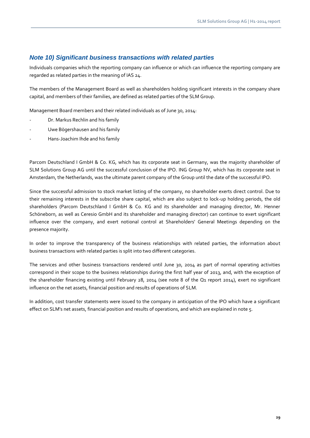### *Note 10) Significant business transactions with related parties*

Individuals companies which the reporting company can influence or which can influence the reporting company are regarded as related parties in the meaning of IAS 24.

The members of the Management Board as well as shareholders holding significant interests in the company share capital, and members of their families, are defined as related parties of the SLM Group.

Management Board members and their related individuals as of June 30, 2014:

- Dr. Markus Rechlin and his family
- Uwe Bögershausen and his family
- Hans-Joachim Ihde and his family

Parcom Deutschland I GmbH & Co. KG, which has its corporate seat in Germany, was the majority shareholder of SLM Solutions Group AG until the successful conclusion of the IPO. ING Group NV, which has its corporate seat in Amsterdam, the Netherlands, was the ultimate parent company of the Group until the date of the successful IPO.

Since the successful admission to stock market listing of the company, no shareholder exerts direct control. Due to their remaining interests in the subscribe share capital, which are also subject to lock-up holding periods, the old shareholders (Parcom Deutschland I GmbH & Co. KG and its shareholder and managing director, Mr. Henner Schöneborn, as well as Ceresio GmbH and its shareholder and managing director) can continue to exert significant influence over the company, and exert notional control at Shareholders' General Meetings depending on the presence majority.

In order to improve the transparency of the business relationships with related parties, the information about business transactions with related parties is split into two different categories.

The services and other business transactions rendered until June 30, 2014 as part of normal operating activities correspond in their scope to the business relationships during the first half year of 2013, and, with the exception of the shareholder financing existing until February 28, 2014 (see note 8 of the Q1 report 2014), exert no significant influence on the net assets, financial position and results of operations of SLM.

In addition, cost transfer statements were issued to the company in anticipation of the IPO which have a significant effect on SLM's net assets, financial position and results of operations, and which are explained in note 5.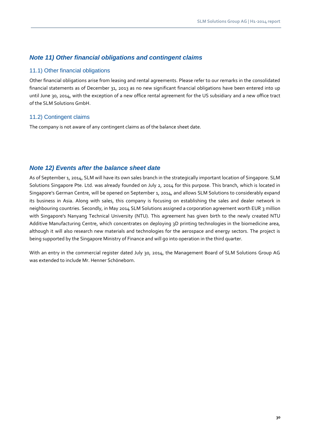## *Note 11) Other financial obligations and contingent claims*

#### 11.1) Other financial obligations

Other financial obligations arise from leasing and rental agreements. Please refer to our remarks in the consolidated financial statements as of December 31, 2013 as no new significant financial obligations have been entered into up until June 30, 2014, with the exception of a new office rental agreement for the US subsidiary and a new office tract of the SLM Solutions GmbH.

#### 11.2) Contingent claims

The company is not aware of any contingent claims as of the balance sheet date.

#### *Note 12) Events after the balance sheet date*

As of September 1, 2014, SLM will have its own sales branch in the strategically important location of Singapore. SLM Solutions Singapore Pte. Ltd. was already founded on July 2, 2014 for this purpose. This branch, which is located in Singapore's German Centre, will be opened on September 1, 2014, and allows SLM Solutions to considerably expand its business in Asia. Along with sales, this company is focusing on establishing the sales and dealer network in neighbouring countries. Secondly, in May 2014 SLM Solutions assigned a corporation agreement worth EUR 3 million with Singapore's Nanyang Technical University (NTU). This agreement has given birth to the newly created NTU Additive Manufacturing Centre, which concentrates on deploying 3D printing technologies in the biomedicine area, although it will also research new materials and technologies for the aerospace and energy sectors. The project is being supported by the Singapore Ministry of Finance and will go into operation in the third quarter.

With an entry in the commercial register dated July 30, 2014, the Management Board of SLM Solutions Group AG was extended to include Mr. Henner Schöneborn.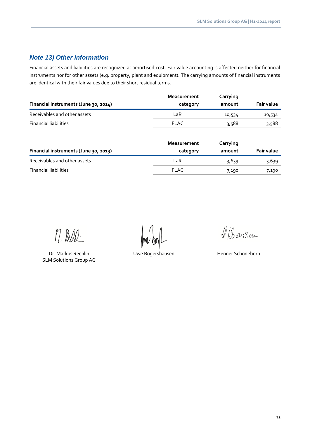## *Note 13) Other information*

Financial assets and liabilities are recognized at amortised cost. Fair value accounting is affected neither for financial instruments nor for other assets (e.g. property, plant and equipment). The carrying amounts of financial instruments are identical with their fair values due to their short residual terms.

|                                       | <b>Measurement</b> | Carrying |                   |
|---------------------------------------|--------------------|----------|-------------------|
| Financial instruments (June 30, 2014) | category           | amount   | <b>Fair value</b> |
| Receivables and other assets          | LaR                | 10,534   | 10,534            |
| <b>Financial liabilities</b>          | <b>FLAC</b>        | 3,588    | 3,588             |
|                                       |                    |          |                   |

|                                       | Measurement | Carrying |                   |
|---------------------------------------|-------------|----------|-------------------|
| Financial instruments (June 30, 2013) | category    | amount   | <b>Fair value</b> |
| Receivables and other assets          | LaR         | 3,639    | 3,639             |
| <b>Financial liabilities</b>          | <b>FLAC</b> | 7,190    | 7,190             |

M. Rede

Dr. Markus Rechlin **Einer Umberstausen Einer Schöneborn** Uwe Bögershausen aus einem Henner Schöneborn SLM Solutions Group AG

1 Baires ou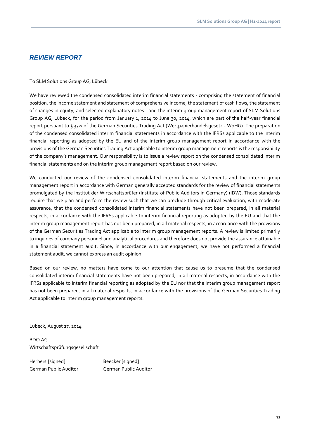### *REVIEW REPORT*

#### To SLM Solutions Group AG, Lübeck

We have reviewed the condensed consolidated interim financial statements - comprising the statement of financial position, the income statement and statement of comprehensive income, the statement of cash flows, the statement of changes in equity, and selected explanatory notes - and the interim group management report of SLM Solutions Group AG, Lübeck, for the period from January 1, 2014 to June 30, 2014, which are part of the half-year financial report pursuant to § 37w of the German Securities Trading Act (Wertpapierhandelsgesetz - WpHG). The preparation of the condensed consolidated interim financial statements in accordance with the IFRSs applicable to the interim financial reporting as adopted by the EU and of the interim group management report in accordance with the provisions of the German Securities Trading Act applicable to interim group management reports is the responsibility of the company's management. Our responsibility is to issue a review report on the condensed consolidated interim financial statements and on the interim group management report based on our review.

We conducted our review of the condensed consolidated interim financial statements and the interim group management report in accordance with German generally accepted standards for the review of financial statements promulgated by the Institut der Wirtschaftsprüfer (Institute of Public Auditors in Germany) (IDW). Those standards require that we plan and perform the review such that we can preclude through critical evaluation, with moderate assurance, that the condensed consolidated interim financial statements have not been prepared, in all material respects, in accordance with the IFRSs applicable to interim financial reporting as adopted by the EU and that the interim group management report has not been prepared, in all material respects, in accordance with the provisions of the German Securities Trading Act applicable to interim group management reports. A review is limited primarily to inquiries of company personnel and analytical procedures and therefore does not provide the assurance attainable in a financial statement audit. Since, in accordance with our engagement, we have not performed a financial statement audit, we cannot express an audit opinion.

Based on our review, no matters have come to our attention that cause us to presume that the condensed consolidated interim financial statements have not been prepared, in all material respects, in accordance with the IFRSs applicable to interim financial reporting as adopted by the EU nor that the interim group management report has not been prepared, in all material respects, in accordance with the provisions of the German Securities Trading Act applicable to interim group management reports.

Lübeck, August 27, 2014

BDO AG Wirtschaftsprüfungsgesellschaft

Herbers [signed] Beecker [signed] German Public Auditor German Public Auditor